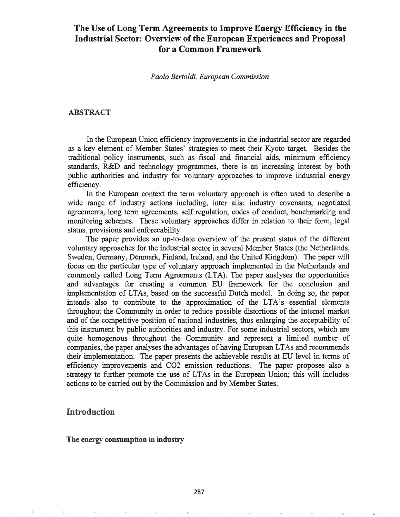# The Use of Long Term Agreements to Improve Energy Efficiency in the Industrial Sector: Overview of the European Experiences and Proposal for a Common Framework

## *Paolo Bertoldi, European Commission*

## ABSTRACT

In the European Union efficiency improvements in the industrial sector are regarded as a key element of Member States' strategies to meet their Kyoto target. Besides the traditional policy instruments, such as fiscal and financial aids, minimum efficiency standards, R&D and technology programmes, there is an increasing interest by both public authorities and industry for voluntary approaches to improve industrial energy efficiency.

In the European context the term voluntary approach is often used to describe a wide range of industry actions including, inter alia: industry covenants, negotiated agreements, long term agreements, self regulation, codes of conduct, benchmarking and monitoring schemes. These voluntary approaches differ in relation to their form, legal status, provisions and enforceability.

The paper provides an up-to-date overview of the present status of the different voluntary approaches for the industrial sector in several Member States (the Netherlands, Sweden, Germany, Denmark, Finland, Ireland, and the United Kingdom). The paper will focus on the particular type of voluntary approach implemented in the Netherlands and commonly called Long Term Agreements (LTA). The paper analyses the opportunities and advantages for creating a common ED framework for the conclusion and implementation of LTAs, based on the successful Dutch model. In doing so, the paper intends also to contribute to the approximation of the LTA's essential elements throughout the Community in order to reduce possible distortions of the internal market and of the competitive position of national industries, thus enlarging the acceptability of this instrument by public authorities and industry. For some industrial sectors, which are quite homogenous throughout the Community and represent a limited number of companies, the paper analyses the advantages of having European LTAs and recommends their implementation. The paper presents the achievable results at ED level in tenns of efficiency improvements and C02 emission reductions. The paper proposes also a strategy to further promote the use of LTAs in the European Union; this will includes actions to be carried out by the Commission and by Member States.

# Introduction

## The energy consumption in industry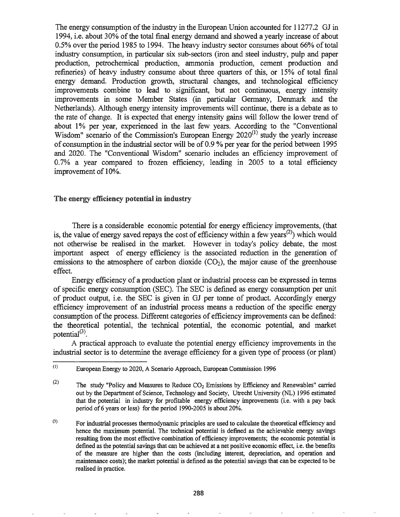The energy consumption of the industry in the European Union accounted for 11277.2 GJ in 1994, i.e. about 30% ofthe total fmal energy demand and showed a yearly increase of about 0.5% over the period 1985 to 1994. The heavy industry sector consumes about 66% of total industry consumption, in particular six sub-sectors (iron and steel industry, pulp and paper production, petrochemical production, ammonia production, cement production and refineries) of heavy industry consume about three quarters of this, or 15% of total fmal energy demand. Production growth, structural changes, and technological efficiency improvements combine to lead to significant, but not continuous, energy intensity improvements in some Member States (in particular Germany, Denmark and the Netherlands). Although energy intensity improvements will continue, there is a debate as to the rate of change. It is expected that energy intensity gains will follow the lower trend of about 1% per year, experienced in the last few years. According to the "Conventional Wisdom" scenario of the Commission's European Energy  $2020^{(1)}$  study the yearly increase of consumption in the industrial sector will be of 0.9 % per year for the period between 1995 and 2020. The "Conventional Wisdom" scenario includes an efficiency improvement of 0.7% a year compared to frozen efficiency, leading in 2005 to a total efficiency improvement of 10%.

## The energy efficiency potential in industry

There is a considerable economic potential for energy efficiency improvements, (that is, the value of energy saved repays the cost of efficiency within a few years<sup>(2)</sup>) which would not otherwise be realised in the market. However in today's policy debate, the most important aspect of energy efficiency is the associated reduction in the generation of emissions to the atmosphere of carbon dioxide  $(CO<sub>2</sub>)$ , the major cause of the greenhouse effect.

Energy efficiency of a production plant or industrial process can be expressed in terms of specific energy consumption (SEC). The SEC is defined as energy consumption per unit of product output, i.e. the SEC is given in GJ per tonne of product. Accordingly energy efficiency improvement of an industrial process means a reduction of the specific energy consumption of the process. Different categories of efficiency improvements can be defined: the theoretical potential, the technical potential, the economic potential, and market potential $^{(3)}$ .

A practical approach to evaluate the potential energy efficiency improvements in the industrial sector is to determine the average efficiency for a given type of process (or plant)

<sup>(1)</sup> European Energy to 2020, A Scenario Approach, European Commission 1996

<sup>(2)</sup> The study "Policy and Measures to Reduce  $CO<sub>2</sub>$  Emissions by Efficiency and Renewables" carried out by the Department of Science, Technology and Society, Utrecht University (NL) 1996 estimated that the potential in industry for profitable energy efficiency improvements (Le. with a pay back period of6 years or less) for the period 1990-2005 is about 20%.

<sup>(3)</sup> For industrial processes thermodynamic principles are used to calculate the theoretical efficiency and hence the maximum potential. The technical potential is defined as the achievable energy savings resulting from the most effective combination of efficiency improvements; the economic potential is defined as the potential savings that can be achieved at a net positive economic effect, i.e. the benefits of the measure are higher than the costs (including interest, depreciation, and operation and maintenance costs); the market potential is defmed as the potential savings that can be expected to be realised in practice.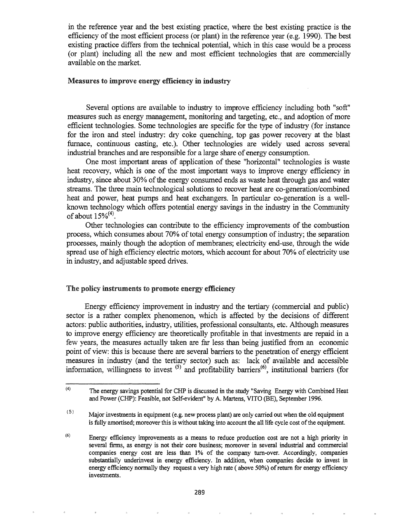in the reference year and the best existing practice, where the best existing practice is the efficiency of the most efficient process (or plant) in the reference year (e.g. 1990). The best existing practice differs from the technical potential, which in this case would be a process (or plant) including all the new and most efficient technologies that are commercially available on the market.

## Measures to improve energy efficiency in industry

Several options are available to industry to improve efficiency including both "soft" measures such as energy management, monitoring and targeting, etc., and adoption of more efficient technologies. Some technologies are specific for the type of industry (for instance for the iron and steel industry: dry coke quenching, top gas power recovery at the blast furnace, continuous casting, etc.). Other technologies are widely used across several industrial branches and are responsible for a large share of energy consumption.

One most important areas of application of these "horizontal" technologies is waste heat recovery, which is one of the most important ways to improve energy efficiency in industry, since about 30% of the energy consumed ends as waste heat through gas and water streams. The three main technological solutions to recover heat are co-generation/combined heat and power, heat pumps and heat exchangers. In particular co-generation is a wellknown technology which offers potential energy savings in the industry in the Community of about  $15\%^{(4)}$ .

Other technologies can contribute to the efficiency improvements of the combustion process, which consumes about 70% of total energy consumption of industry; the separation processes, mainly though the adoption of membranes; electricity end-use, through the wide spread use of high efficiency electric motors, which account for about 70% of electricity use in industry, and adjustable speed drives.

#### The policy instruments to promote energy efficiency

Energy efficiency improvement in industry and the tertiary (commercial and public) sector is a rather complex phenomenon, which is affected by the decisions of different actors: public authorities, industry, utilities, professional consultants, etc. Although measures to improve energy efficiency are theoretically profitable in that investments are repaid in a few years, the measures actually taken are far less than being justified from an economic point of view: this is because there are several barriers to the penetration of energy efficient measures in industry (and the tertiary sector) such as: lack of available and accessible information, willingness to invest  $(5)$  and profitability barriers $(6)$ , institutional barriers (for

<sup>(4)</sup> The energy savings potential for CHP is discussed in the study "Saving Energy with Combined Heat and Power (CHP): Feasible, not Self-evident" by A. Martens, VITO (BE), September 1996.

<sup>(5)</sup> Major investments in equipment (e.g. new process plant) are only carried out when the old equipment is fully amortised; moreover this is without taking into account the all life cycle cost of the equipment.

<sup>(6)</sup> Energy efficiency improvements as a means to reduce production cost are not a high priority in several firms, as energy is not their core business; moreover in several industrial and commercial companies energy cost are less than 1% of the company turn-over. Accordingly, companies substantially underinvest in energy efficiency. In addition, when companies decide to invest in energy efficiency normally they request a very high rate (above 50%) of return for energy efficiency investments.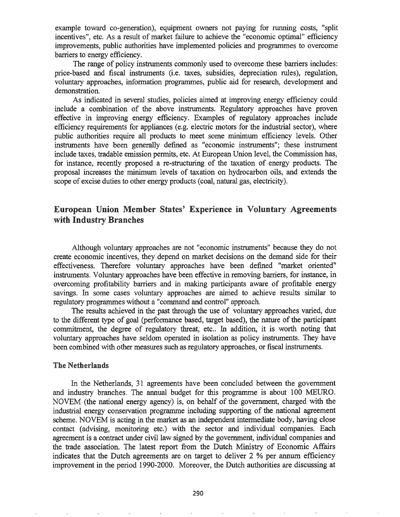example toward co-generation), equipment owners not paying for running costs, "split incentives", etc. As a result of market failure to achieve the "economic optimal" efficiency improvements, public authorities have implemented policies and programmes to overcome barriers to energy efficiency.

The range of policy instruments commonly used to overcome these barriers includes: price-based and fiscal instnunents (Le. taxes, subsidies, depreciation rules), regulation, voluntary approaches, information programmes, public aid for research, development and demonstration.

As indicated in several studies, policies aimed at improving energy efficiency could include a combination of the above instruments. Regulatory approaches have proven effective in improving energy efficiency. Examples of regulatory approaches include efficiency requirements for appliances (e.g. electric motors for the industrial sector), where public authorities require all products to meet some minimum efficiency levels. Other instruments have been generally defined as "economic instruments"; these instrument include taxes, tradable emission permits, etc. At European Union level, the Commission has, for instance, recently proposed a re-structuring of the taxation of energy products. The proposal increases the minimum levels of taxation on hydrocarbon oils, and extends the scope of excise duties to other energy products (coal, natural gas, electricity).

# European Union Member States' Experience in Voluntary Agreements with Industry Branches

Although voluntary approaches are not "economic instruments" because they do not create economic incentives, they depend on market decisions on the demand side for their effectiveness. Therefore voluntary approaches have been defined "market oriented" instruments. Voluntary approaches have been effective in removing barriers, for instance, in overcoming profitability barriers and in making participants aware of profitable energy savings. In some cases voluntary approaches are aimed to achieve results similar to regulatory programmes without a "command and control" approach.

The results achieved in the past through the use of voluntary approaches varied, due to the different type of goal (performance based, target based), the nature of the participant commitment, the degree of regulatory threat, etc.. In addition, it is worth noting that voluntary approaches have seldom operated in isolation as policy instruments. They have been combined with other measures such as regulatory approaches, or fiscal instnunents.

### The Netherlands

In the Netherlands, 31 agreements have been concluded between the government and industry branches. The annual budget for this programme is about 100 MEURO. NOVEM (the national energy agency) is, on behalf of the government, charged with the industrial energy conservation programme including supporting of the national agreement scheme. NOVEM is acting in the market as an independent intermediate body, having close contact (advising, monitoring etc.) with the sector and individual companies. Each agreement is a contract under civil law signed by the government, individual companies and the trade association. The latest report from the Dutch Ministry of Economic Affairs indicates that the Dutch agreements are on target to deliver 2 % per annum efficiency improvement in the period 1990-2000. Moreover, the Dutch authorities are discussing at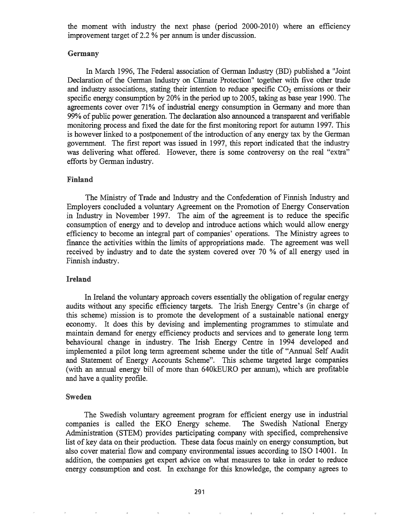the moment with industry the next phase (period 2000-2010) where an efficiency improvement target of 2.2 % per annum is under discussion.

## Germany

In March 1996, The Federal association of German Industry (BD) published a "Joint Declaration of the German Industry on Climate Protection" together with five other trade and industry associations, stating their intention to reduce specific  $CO<sub>2</sub>$  emissions or their specific energy consumption by 20% in the period up to 2005, taking as base year 1990. The agreements cover over 71% of industrial energy consumption in Germany and more than 99% of public power generation. The declaration also announced a transparent and verifiable monitoring process and fixed the date for the first monitoring report for autumn 1997. This is however linked to a postponement of the introduction of any energy tax by the German government. The first report was issued in 1997, this report indicated that the industry was delivering what offered. However, there is some controversy on the real "extra" efforts by German industry.

## Finland

The Ministry of Trade and Industry and the Confederation of Finnish Industry and Employers concluded a voluntary Agreement on the Promotion of Energy Conservation in Industry in November 1997. The aim of the agreement is to reduce the specific consumption of energy and to develop and introduce actions which would allow energy efficiency to become an integral part of companies' operations. The Ministry agrees to finance the activities within the limits of appropriations made. The agreement was well received by industry and to date the system covered over 70 % of all energy used in Finnish industry.

#### Ireland

In Ireland the voluntary approach covers essentially the obligation of regular energy audits without any specific efficiency targets. The Irish Energy Centre's (in charge of this scheme) mission is to promote the development of a sustainable national energy economy. It does this by devising and implementing programmes to stimulate and maintain demand for energy efficiency products and services and to generate long term behavioural change in industry. The Irish Energy Centre in 1994 developed and implemented a pilot long term agreement scheme under the title of "Annual Self Audit and Statement of Energy Accounts Scheme". This scheme targeted large companies (with an annual energy bill of more than 640kEURO per annum), which are profitable and have a quality profile.

## Sweden

The Swedish voluntary agreement program for efficient energy use in industrial companies is called the EKO Energy scheme. The Swedish National Energy Administration (STEM) provides participating company with specified, comprehensive list of key data on their production. These data focus mainly on energy consumption, but also cover material flow and company environmental issues according to ISO 14001. In addition, the companies get expert advice on what measures to take in order to reduce energy consumption and cost. In exchange for this knowledge, the company agrees to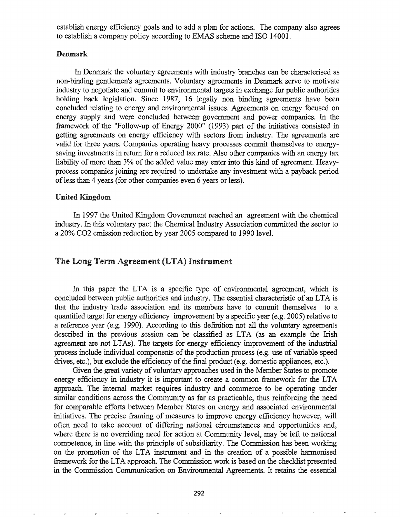establish energy efficiency goals and to add a plan for actions. The company also agrees to establish a company policy according to EMAS scheme and ISO 14001.

## Denmark

In Denmark the voluntary agreements with industry branches can be characterised as non-binding gentlemen's agreements. Voluntary agreements in Denmark serve to motivate industry to negotiate and commit to environmental targets in exchange for public authorities holding back legislation. Since 1987, 16 legally non binding agreements have been concluded relating to energy and environmental issues. Agreements on energy focused on energy supply and were concluded betweerr government and power companies. In the framework of the "Follow-up of Energy 2000" (1993) part of the initiatives consisted in getting agreements on energy efficiency with sectors from industry. The agreements are valid for three years. Companies operating heavy processes commit themselves to energysaving investments in return for a reduced tax rate. Also other companies with an energy tax liability of more than 3% of the added value may enter into this kind of agreement. Heavyprocess companies joining are required to undertake any investment with a payback period of less than 4 years (for other companies even 6 years or less).

#### United Kingdom

In 1997 the United Kingdom Government reached an agreement with the chemical industry. In this voluntary pact the Chemical Industry Association committed the sector to a 20% C02 emission reduction by year 2005 compared to 1990 level.

## The Long Term Agreement (LTA) Instrument

In this paper the LTA is a specific type of environmental agreement, which is concluded between public authorities and industry. The essential characteristic of an LTA is that the industry trade association and its members have to commit themselves to a quantified target for energy efficiency improvement by a specific year (e.g. 2005) relative to a reference year (e.g.  $1990$ ). According to this definition not all the voluntary agreements described in the previous session can be classified as LTA (as an example the Irish agreement are not LTAs). The targets for energy efficiency improvement of the industrial process include individual components of the production process (e.g. use of variable speed drives, etc.), but exclude the efficiency of the final product (e.g. domestic appliances, etc.).

Given the great variety of voluntary approaches used in the Member States to promote energy efficiency in industry it is important to create a common framework for the LTA approach. The internal market requires industry and commerce to be operating under similar conditions across the Community as far as practicable, thus reinforcing the need for comparable efforts between Member States on energy and associated environmental initiatives. The precise framing of measures to improve energy efficiency however, will often need to take account of differing national circumstances and opportunities and, where there is no overriding need for action at Community level, may be left to national competence, in line with the principle of subsidiarity. The Commission has been working on the promotion of the LTA instrument and in the creation of a possible harmonised framework for the LTA approach. The Commission work is based on the checklist presented in the Commission Communication on Environmental Agreements. It retains the essential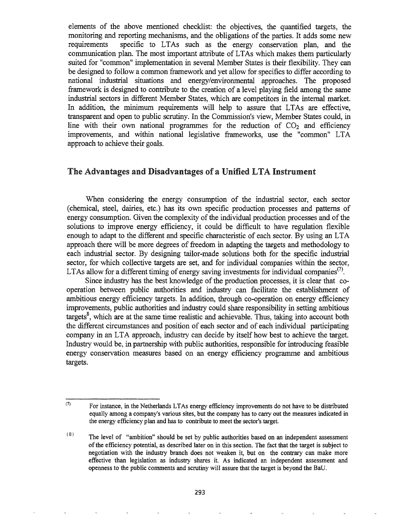elements of the above mentioned checklist: the objectives, the quantified targets, the monitoring and reporting mechanisms, and the obligations of the parties. It adds some new requirements specific to LTAs such as the energy conservation plan, and the communication plan. The most important attribute of LTAs which makes them particularly suited for "common" implementation in several Member States is their flexibility. They can be designed to follow a common framework and yet allow for specifics to differ according to national industrial situations and energy/environmental approaches. The proposed framework is designed to contribute to the creation of a level playing field among the same industrial sectors in different Member States, which are competitors in the internal market. In addition, the minimum requirements will help to assure that LTAs are effective, transparent and open to public scrutiny. In the Commission's view, Member States could, in line with their own national programmes for the reduction of  $CO<sub>2</sub>$  and efficiency improvements, and within national legislative frameworks, use the "common" LTA approach to achieve their goals.

# The Advantages and Disadvantages of a Unified LTA Instrument

When considering the energy consumption of the industrial sector, each sector (chemical, steel, dairies, etc.) has its own specific production processes and patterns of energy consumption. Given the complexity of the individual production processes and of the solutions to improve energy efficiency, it could be difficult to have regulation flexible enough to adapt to the different and specific characteristic of each sector. By using an LTA approach there will be more degrees of freedom in adapting the targets and methodology to each industrial sector. By designing tailor-made solutions both for the specific industrial sector, for which collective targets are set, and for individual companies within the sector, LTAs allow for a different timing of energy saving investments for individual companies<sup>(7)</sup>.

Since industry has the best knowledge of the production processes, it is clear that cooperation between public authorities and industry can facilitate the establishment of ambitious energy efficiency targets. In addition, through co-operation on energy efficiency improvements, public authorities and industry could share responsibility in setting ambitious targets<sup>8</sup>, which are at the same time realistic and achievable. Thus, taking into account both the different circumstances and position of each sector and of each individual participating company in an LTA approach, industry can decide by itself how best to achieve the target. Industry would be, in partnership with public authorities, responsible for introducing feasible energy conservation measures based on an energy efficiency programme and ambitious targets.

<sup>(7)</sup> For instance, in the Netherlands LTAs energy efficiency improvements do not have to be distributed equally among a company's various sites, but the company has to carry out the measures indicated in the energy efficiency plan and has to contribute to meet the sector's target.

<sup>(8)</sup> The level of "ambition" should be set by public authorities based on an independent assessment ofthe efficiency potential, as described later on in this section. The fact that the target is subject to negotiation with the industry branch does not weaken it, but on the contrary can make more effective than legislation as industry shares it. As indicated an independent assessment and openness to the public comments and scrutiny will assure that the target is beyond the BaD.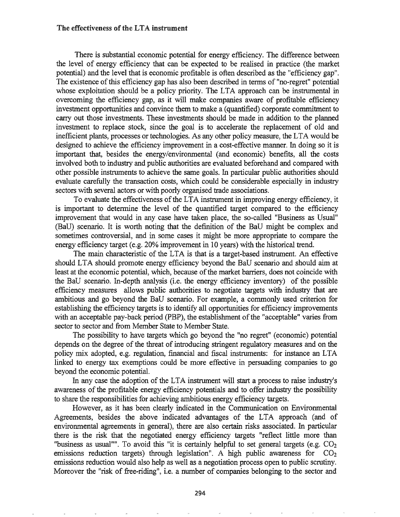#### The effectiveness of the LTA instrument

There is substantial economic potential for energy efficiency. The difference between the level of energy efficiency that can be expected to be realised in practice (the market potential) and the level that is economic profitable is often described as the "efficiency gap". The existence of this efficiency gap has also been described in terms of "no-regret" potential whose exploitation should be a policy priority. The LTA approach can be instrumental in overcoming the efficiency gap, as it will make companies aware of profitable efficiency investment opportunities and convince them to make a (quantified) corporate commitment to carry out those investments. These investments should be made in addition to the planned investment to replace stock, since the goal is to accelerate the replacement of old and inefficient plants, processes or technologies. As any other policy measure, the LTA would be designed to achieve the efficiency improvement in a cost-effective manner. In doing so it is important that, besides the energy/environmental (and economic) benefits, all the costs involved both to industry and public authorities are evaluated beforehand and compared with other possible instruments to achieve the same goals. In particular public authorities should evaluate carefully the transaction costs, which could be considerable especially in industry sectors with several actors or with poorly organised trade associations.

To evaluate the effectiveness of the LTA instrument in improving energy efficiency, it is important to determine the level of the quantified target compared to the efficiency improvement that would in any case have taken place, the so-called "Business as Usual" (BaD) scenario. It is worth noting that the definition of the BaD might be complex and sometimes controversial, and in some cases it might be more appropriate to compare the energy efficiency target (e.g. 20% improvement in 10 years) with the historical trend.

The main characteristic of the LTA is that is a target-based instrument. An effective should LTA should promote energy efficiency beyond the BaD scenario and should aim at least at the economic potential, which, because of the market barriers, does not coincide with the BaD scenario. In-depth analysis (i.e. the energy efficiency inventory) of the possible efficiency measures allows public authorities to negotiate targets with industry that are ambitious and go beyond the BaD scenario. For example, a commonly used criterion for establishing the efficiency targets is to identify all opportunities for efficiency improvements with an acceptable pay-back period (PBP), the establishment of the "acceptable" varies from sector to sector and from Member State to Member State.

The possibility to have targets which go beyond the "no regret" (economic) potential depends on the degree of the threat of introducing stringent regulatory measures and on the policy mix adopted, e.g. regulation, financial and fiscal instruments: for instance an LTA linked to energy tax exemptions could be more effective in persuading companies to go beyond the economic potentiaL

In any case the adoption of the LTA instrument will start a process to raise industry's awareness of the profitable energy efficiency potentials and to offer industry the possibility to share the responsibilities for achieving ambitious energy efficiency targets,.

However, as it has been clearly indicated in the Communication on Environmental Agreements, besides the above indicated advantages of the LTA approach (and of environmental agreements in general), there are also certain risks associated. In particular there is the risk that the negotiated energy efficiency targets "reflect little more than "business as usual"". To avoid this "it is certainly helpful to set general targets (e.g.  $CO<sub>2</sub>$ emissions reduction targets) through legislation". A high public awareness for  $CO<sub>2</sub>$ emissions reduction would also help as well as a negotiation process open to public scrutiny.. Moreover the "risk of free-riding", i.e. a number of companies belonging to the sector and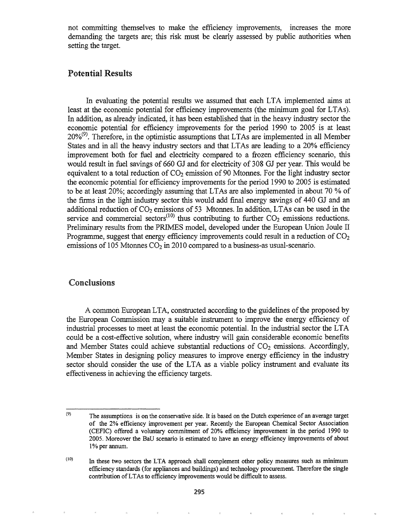not committing themselves to make the efficiency improvements, increases the more demanding the targets are; this risk must be clearly assessed by public authorities when setting the target.

# Potential Results

In evaluating the potential results we assumed that each LTA implemented aims at least at the economic potential for efficiency improvements (the minimum goal for LTAs). In addition, as already indicated, it has been established that in the heavy industry sector the economic potential for efficiency improvements for the period 1990 to 2005 is at least  $20\%$ <sup>(9)</sup>. Therefore, in the optimistic assumptions that LTAs are implemented in all Member States and in all the heavy industry sectors and that LTAs are leading to a 20% efficiency improvement both for fuel and electricity compared to a frozen efficiency scenario, this would result in fuel savings of 660 GJ and for electricity of 308 GJ per year. This would be equivalent to a total reduction of  $CO<sub>2</sub>$  emission of 90 Mtonnes. For the light industry sector the economic potential for efficiency improvements for the period 1990 to 2005 is estimated to be at least 20%; accordingly assuming that LTAs are also implemented in about 70 % of the finns in the light industry sector this would add fmal energy savings of 440 GJ and an additional reduction of  $CO_2$  emissions of 53 Mtonnes. In addition, LTAs can be used in the service and commercial sectors<sup>(10)</sup> thus contributing to further  $CO<sub>2</sub>$  emissions reductions. Preliminary results from the PRIMES model, developed under the European Union Joule II Programme, suggest that energy efficiency improvements could result in a reduction of  $CO<sub>2</sub>$ emissions of 105 Mtonnes  $CO<sub>2</sub>$  in 2010 compared to a business-as usual-scenario.

## Conclusions

A common European LTA, constructed according to the guidelines ofthe proposed by the European Commission may a suitable instrument to improve the energy efficiency of industrial processes to meet at least the economic potentiaL In the industrial sector the LTA could be a cost-effective solution, where industry will gain considerable economic benefits and Member States could achieve substantial reductions of  $CO<sub>2</sub>$  emissions. Accordingly, Member States in designing policy measures to improve energy efficiency in the industry sector should consider the use of the LTA as a viable policy instrument and evaluate its effectiveness in achieving the efficiency targets.

<sup>(9)</sup> The assumptions is on the conservative side. It is based on the Dutch experience of an average target of the 2% efficiency improvement per year. Recently the European Chemical Sector Association (CEFIC) offered a voluntary commitment of 20% efficiency improvement in the period 1990 to 2005. Moreover the BaD scenario is estimated to have an energy efficiency improvements of about 1% per annum.

<sup>(10)</sup> In these two sectors the LTA approach shall complement other policy measures such as minimum efficiency standards (for appliances and buildings) and technology procurement. Therefore the single contribution ofLTAs to efficiency improvements would be difficult to assess.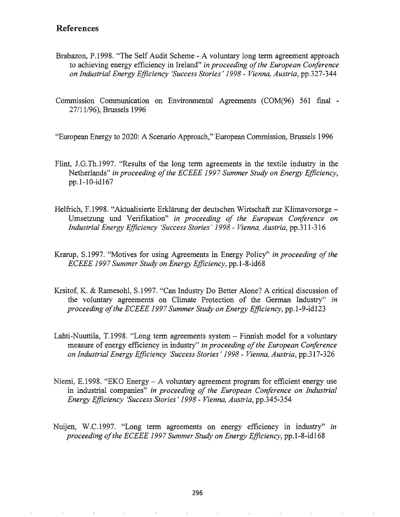# References

- Brabazon, P.1998. "The Self Audit Scheme A voluntary long term agreement approach to achieving energy efficiency in Ireland" *in proceeding ofthe European Conference on Industrial Energy Efficiency 'Success Stories'* 1998 - *Vienna, Austria,* pp.327-344
- Commission Communication on Environmental Agreements (COM(96) 561 final 27/11/96), Brussels 1996

"European Energy to 2020: A Scenario Approach," European Commission, Brussels 1996

- Flint, J.G.Th.1997. "Results of the long term agreements in the textile industry in the Netherlands" *in proceeding ofthe EeEEE* 1997 *Summer Study on Energy Efficiency,* pp.l-IO-id167
- Helfrich, F.1998. "Aktualisierte Erklärung der deutschen Wirtschaft zur Klimavorsorge Umsetzung und Verifikation" *in proceeding of the European Conference on Industrial Energy Efficiency 'Success Stories'* 1998 - *Vienna, Austria,* pp.311-316
- Krarup, S.1997. "Motives for using Agreements in Energy Policy" *in proceeding of the ECEEE* 1997 *Summer Study on Energy Efficiency,* pp.1-8-id68
- Krsitof, K. & Ramesohl, 8.1997. "Can Industry Do Better Alone? A critical discussion of the voluntary agreements on Climate Protection of the German Industry" *in proceeding of the ECEEE 1997 Summer Study on Energy Efficiency, pp.1-9-id123*
- Lahti-Nuuttila, T.1998. "Long term agreements system  $-$  Finnish model for a voluntary measure of energy efficiency in industry" *in proceeding ofthe European Conference on Industrial Energy Efficiency 'Success Stories'* 1998 - *Vienna, Austria,* pp.317-326
- Niemi, E.1998. "EKO Energy  $-A$  voluntary agreement program for efficient energy use industrial companies" *in proceeding of the European Conference on Industrial Energy Efficiency 'Success Stories'* 1998 - *Vienna, Austria,* pp.345-354
- Nuijen, W.C.1997. "Long term agreements on energy efficiency in industry" *in proceeding ofthe ECEEE* 1997 *Summer Study on Energy Efficiency,* pp.1-8-id168